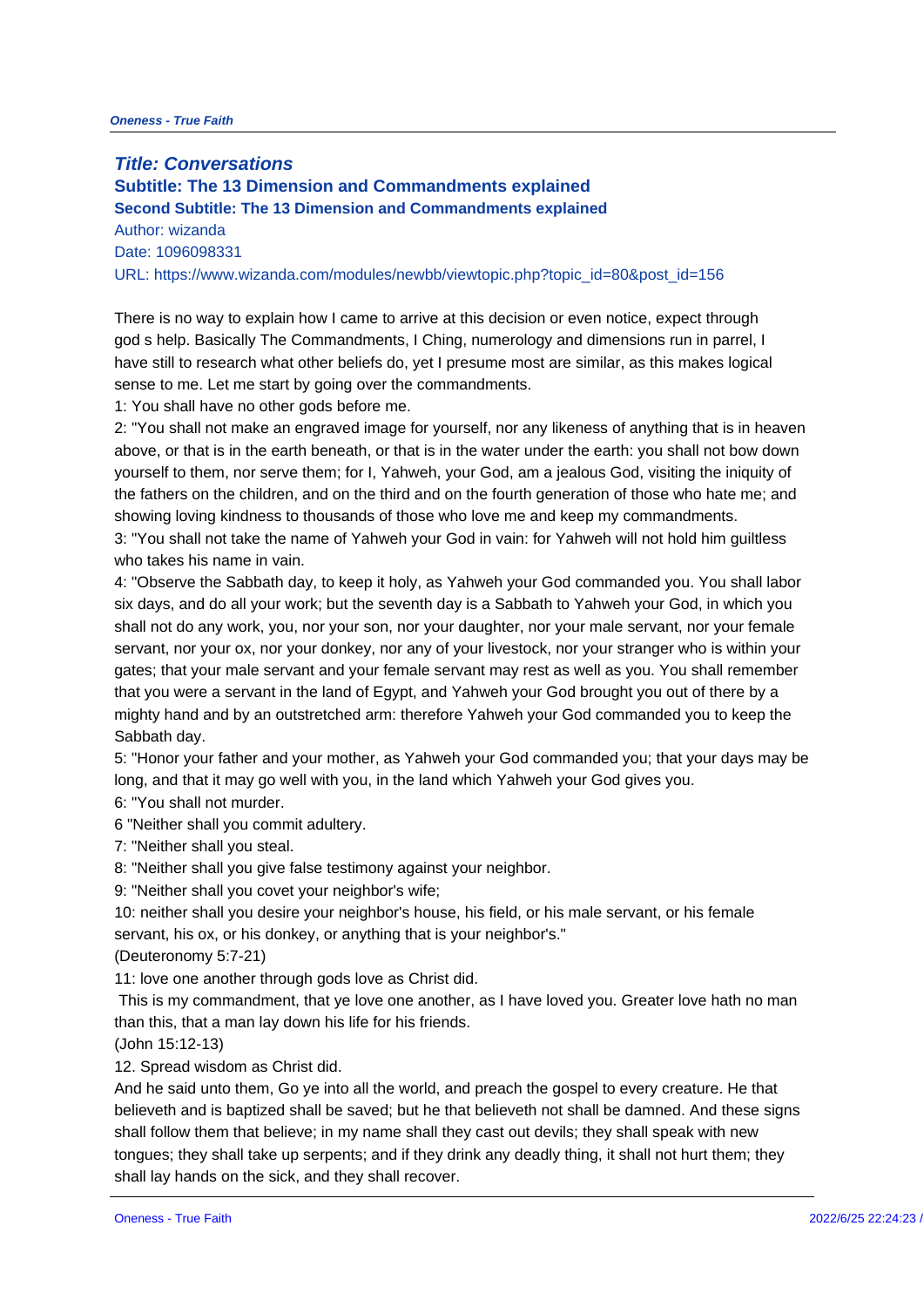**Title: Conversations Subtitle: The 13 Dimension and Commandments explained Second Subtitle: The 13 Dimension and Commandments explained** Author: wizanda Date: 1096098331 URL: https://www.wizanda.com/modules/newbb/viewtopic.php?topic\_id=80&p

There is no way to explain how I came to arrive at this decision or even no god s help. Basically The Commandments, I Ching, numerology and dimensi have still to research what other beliefs do, yet I presume most are similar sense to me. Let me start by going over the commandments.

1: You shall have no other gods before me.

2: "You shall not make an engraved image for yourself, nor any likeness of above, or that is in the earth beneath, or that is in the water under the ear yourself to them, nor serve them; for I, Yahweh, your God, am a jealous Go the fathers on the children, and on the third and on the fourth generation o showing loving kindness to thousands of those who love me and keep my co 3: "You shall not take the name of Yahweh your God in vain: for Yahweh wi who takes his name in vain.

4: "Observe the Sabbath day, to keep it holy, as Yahweh your God command six days, and do all your work; but the seventh day is a Sabbath to Yahweh shall not do any work, you, nor your son, nor your daughter, nor your male servant, nor your ox, nor your donkey, nor any of your livestock, nor your s gates; that your male servant and your female servant may rest as well as that you were a servant in the land of Egypt, and Yahweh your God brought mighty hand and by an outstretched arm: therefore Yahweh your God comma Sabbath day.

5: "Honor your father and your mother, as Yahweh your God commanded you long, and that it may go well with you, in the land which Yahweh your God 6: "You shall not murder.

6 "Neither shall you commit adultery.

7: "Neither shall you steal.

8: "Neither shall you give false testimony against your neighbor.

9: "Neither shall you covet your neighbor's wife;

10: neither shall you desire your neighbor's house, his field, or his male se servant, his ox, or his donkey, or anything that is your neighbor's." (Deuteronomy 5:7-21)

11: love one another through gods love as Christ did.

This is my commandment, that ye love one another, as I have loved you. G than this, that a man lay down his life for his friends.

(John 15:12-13)

12. Spread wisdom as Christ did.

And he said unto them, Go ye into all the world, and preach the gospel to  $\epsilon$ believeth and is baptized shall be saved; but he that believeth not shall be shall follow them that believe; in my name shall they cast out devils; they tongues; they shall take up serpents; and if they drink any deadly thing, it shall lay hands on the sick, and they shall recover.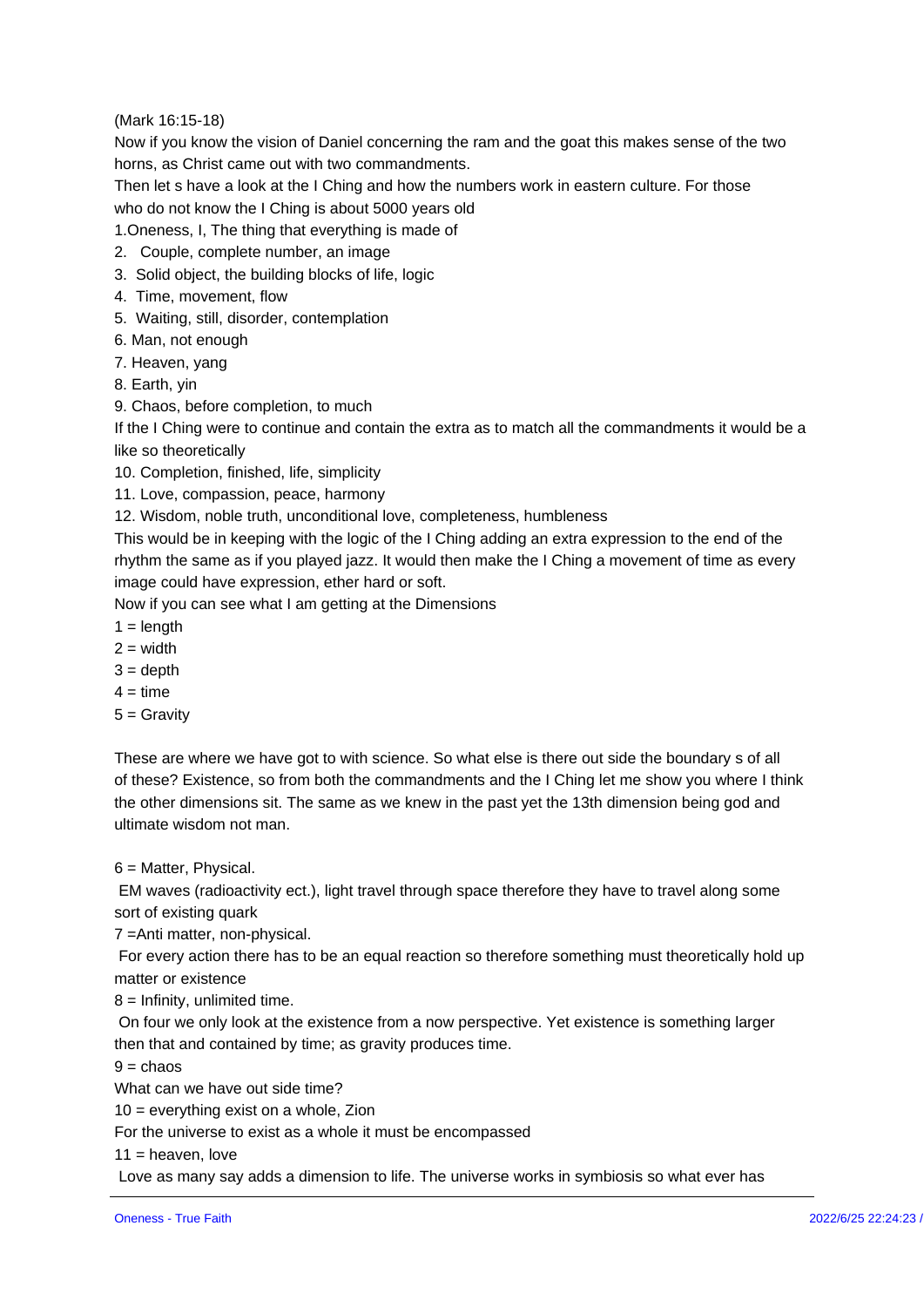(Mark 16:15-18) Now if you know the vision of Daniel concerning the ram and the goat this  $\frac{1}{2}$ horns, as Christ came out with two commandments. Then let s have a look at the I Ching and how the numbers work in eastern who do not know the I Ching is about 5000 years old 1. Oneness, I, The thing that everything is made of 2. Couple, complete number, an image 3. Solid object, the building blocks of life, logic 4. Time, movement, flow 5. Waiting, still, disorder, contemplation 6. Man, not enough 7. Heaven, yang 8. Earth, yin 9. Chaos, before completion, to much If the I Ching were to continue and contain the extra as to match all the co like so theoretically 10. Completion, finished, life, simplicity 11. Love, compassion, peace, harmony 12. Wisdom, noble truth, unconditional love, completeness, humbleness This would be in keeping with the logic of the I Ching adding an extra expr rhythm the same as if you played jazz. It would then make the I Ching a mo image could have expression, ether hard or soft. Now if you can see what I am getting at the Dimensions  $1 = length$  $2 = width$  $3 =$  depth  $4 = \text{time}$  $5 =$  Gravity These are where we have got to with science. So what else is there out sid of these? Existence, so from both the commandments and the I Ching let  $m_{\ell}$ the other dimensions sit. The same as we knew in the past yet the 13th dim ultimate wisdom not man. 6 = Matter, Physical. EM waves (radioactivity ect.), light travel through space therefore they ha sort of existing quark 7 =Anti matter, non-physical. For every action there has to be an equal reaction so therefore something matter or existence 8 = Infinity, unlimited time. On four we only look at the existence from a now perspective. Yet existene then that and contained by time; as gravity produces time.  $9 = chaos$ What can we have out side time? 10 = everything exist on a whole, Zion For the universe to exist as a whole it must be encompassed  $11 = \text{heaven}, \text{love}$ Love as many say adds a dimension to life. The universe works in symbios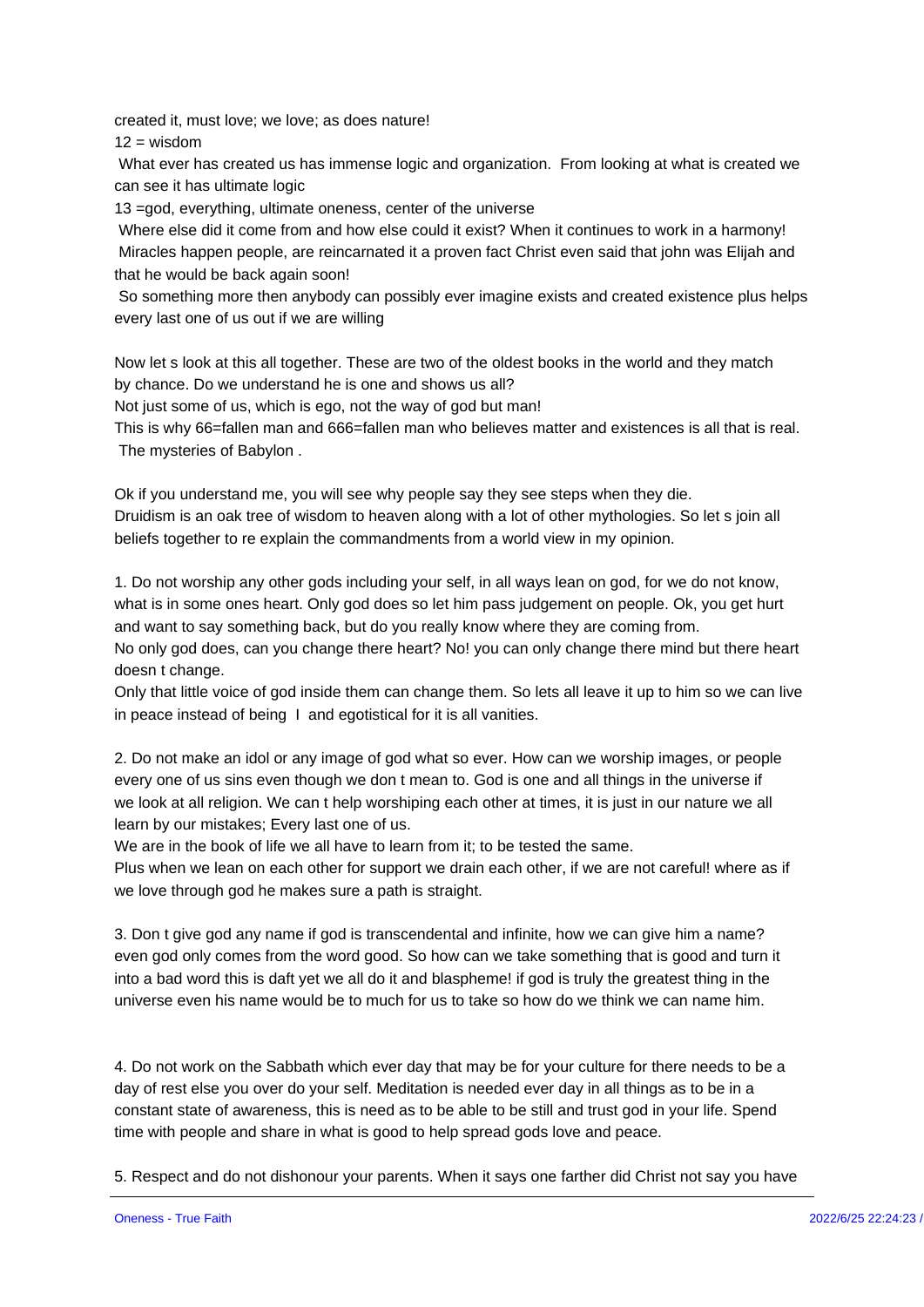created it, must love; we love; as does nature!  $12 = wisdom$ What ever has created us has immense logic and organization. From looking can see it has ultimate logic 13 =god, everything, ultimate oneness, center of the universe Where else did it come from and how else could it exist? When it continue Miracles happen people, are reincarnated it a proven fact Christ even said that he would be back again soon!

So something more then anybody can possibly ever imagine exists and cre every last one of us out if we are willing

Now let s look at this all together. These are two of the oldest books in the by chance. Do we understand he is one and shows us all? Not just some of us, which is ego, not the way of god but man! This is why 66=fallen man and 666=fallen man who believes matter and existences The mysteries of Babylon .

Ok if you understand me, you will see why people say they see steps when Druidism is an oak tree of wisdom to heaven along with a lot of other mythe beliefs together to re explain the commandments from a world view in my o

1. Do not worship any other gods including your self, in all ways lean on go what is in some ones heart. Only god does so let him pass judgement on pe and want to say something back, but do you really know where they are con No only god does, can you change there heart? No! you can only change th doesn t change.

Only that little voice of god inside them can change them. So lets all leave in peace instead of being I and egotistical for it is all vanities.

2. Do not make an idol or any image of god what so ever. How can we wors every one of us sins even though we don t mean to. God is one and all thin we look at all religion. We can t help worshiping each other at times, it is learn by our mistakes; Every last one of us.

We are in the book of life we all have to learn from it; to be tested the sam Plus when we lean on each other for support we drain each other, if we are we love through god he makes sure a path is straight.

3. Don t give god any name if god is transcendental and infinite, how we ca even god only comes from the word good. So how can we take something th into a bad word this is daft yet we all do it and blaspheme! if god is truly t universe even his name would be to much for us to take so how do we think

4. Do not work on the Sabbath which ever day that may be for your culture day of rest else you over do your self. Meditation is needed ever day in all constant state of awareness, this is need as to be able to be still and trust time with people and share in what is good to help spread gods love and pe

5. Respect and do not dishonour your parents. When it says one farther did